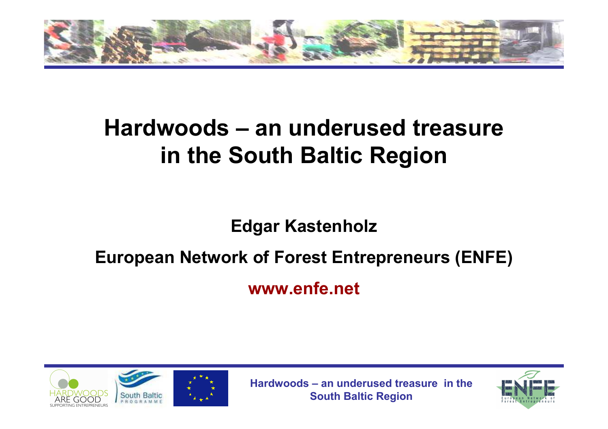

#### **Hardwoods – an underused treasure in the South Baltic Region**

**Edgar Kastenholz** 

#### **European Network of Forest Entrepreneurs (ENFE)**

**www.enfe.net**



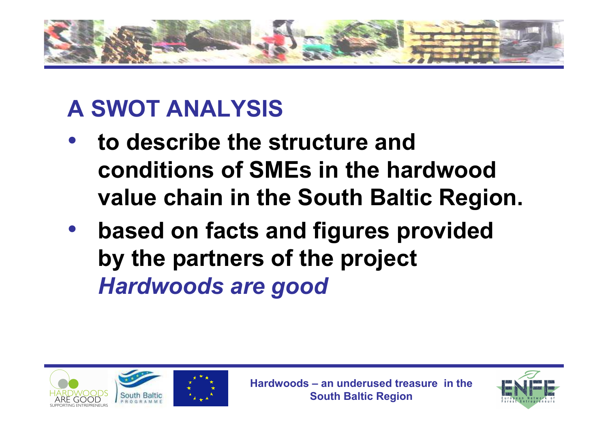

## **A SWOT ANALYSIS**

- **to describe the structure and**  •**conditions of SMEs in the hardwood value chain in the South Baltic Region.**
- $\bullet$  **based on facts and figures provided by the partners of the project** *Hardwoods are good*



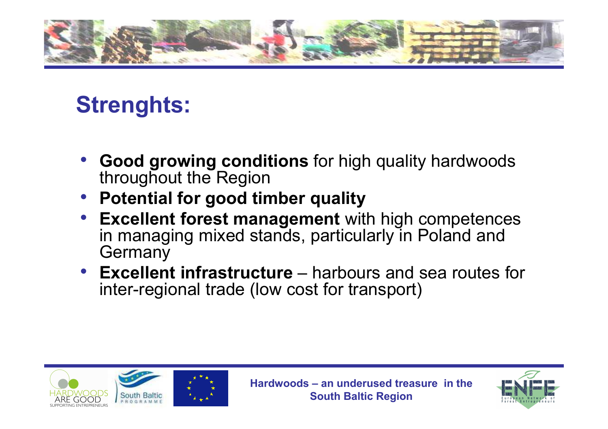

### **Strenghts:**

- • **Good growing conditions** for high quality hardwoods throughout the Region
- **Potential for good timber quality**•
- **Excellent forest management** with high competences •in managing mixed stands, particularly in Poland and **Germany**
- **Excellent infrastructure** harbours and sea routes for inter-regional trade (low cost for transport)



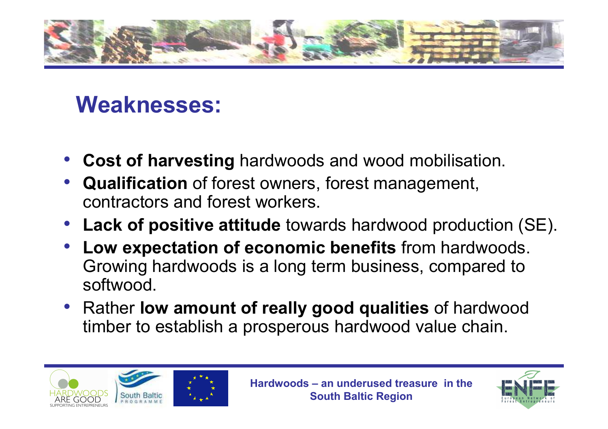

#### **Weaknesses:**

- •**Cost of harvesting** hardwoods and wood mobilisation.
- • **Qualification** of forest owners, forest management, contractors and forest workers.
- **Lack of positive attitude** towards hardwood production (SE).
- • **Low expectation of economic benefits** from hardwoods. Growing hardwoods is a long term business, compared to softwood.
- Rather **low amount of really good qualities** of hardwood timber to establish a prosperous hardwood value chain.



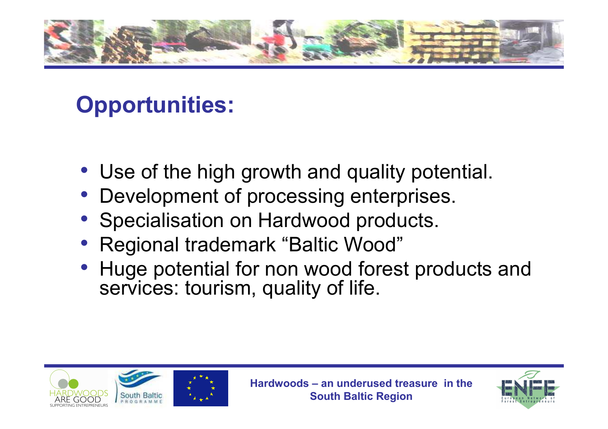

## **Opportunities:**

- Use of the high growth and quality potential.
- Development of processing enterprises.
- •Specialisation on Hardwood products.
- •Regional trademark "Baltic Wood"
- • Huge potential for non wood forest products and services: tourism, quality of life.



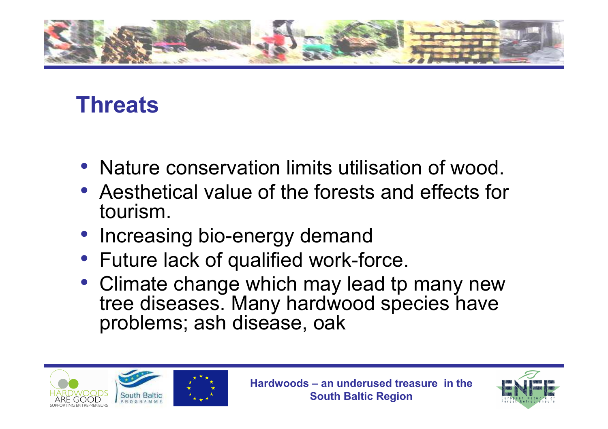

#### **Threats**

- Nature conservation limits utilisation of wood.
- Aesthetical value of the forests and effects for tourism.
- Increasing bio-energy demand
- Future lack of qualified work-force.
- Climate change which may lead tp many new<br>tree diseases Many hardwood species have tree diseases. Many hardwood species have problems; ash disease, oak



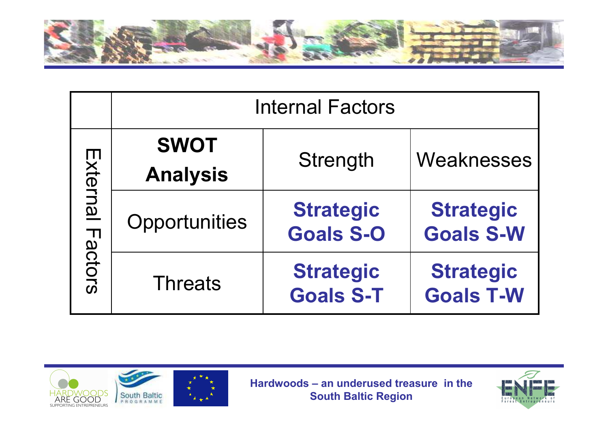

|                     | <b>Internal Factors</b>        |                                      |                                      |
|---------------------|--------------------------------|--------------------------------------|--------------------------------------|
| External<br>Factors | <b>SWOT</b><br><b>Analysis</b> | Strength                             | Weaknesses                           |
|                     | Opportunities                  | <b>Strategic</b><br><b>Goals S-O</b> | <b>Strategic</b><br><b>Goals S-W</b> |
|                     | <b>Threats</b>                 | <b>Strategic</b><br><b>Goals S-T</b> | <b>Strategic</b><br><b>Goals T-W</b> |





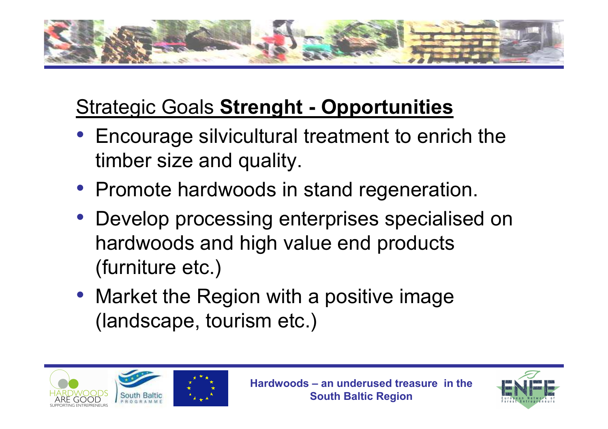

# Strategic Goals **Strenght - Opportunities**

- Encourage silvicultural treatment to enrich the timber size and quality.
- Promote hardwoods in stand regeneration.
- Develop processing enterprises specialised on hardwoods and high value end products (furniture etc.)
- Market the Region with a positive image (landscape, tourism etc.)



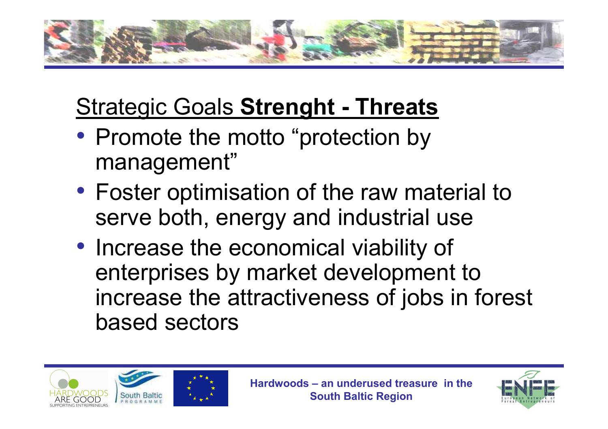

# Strategic Goals **Strenght - Threats**

- Promote the motto "protection by management"
- Foster optimisation of the raw material to serve both, energy and industrial use
- Increase the economical viability of enterprises by market development to increase the attractiveness of jobs in forest based sectors



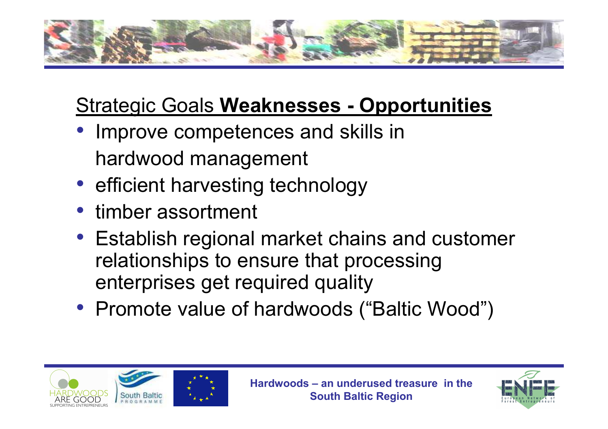

# Strategic Goals **Weaknesses - Opportunities**

- Improve competences and skills in hardwood management
- efficient harvesting technology
- timber assortment
- Establish regional market chains and customer relationships to ensure that processing enterprises get required quality
- Promote value of hardwoods ("Baltic Wood")





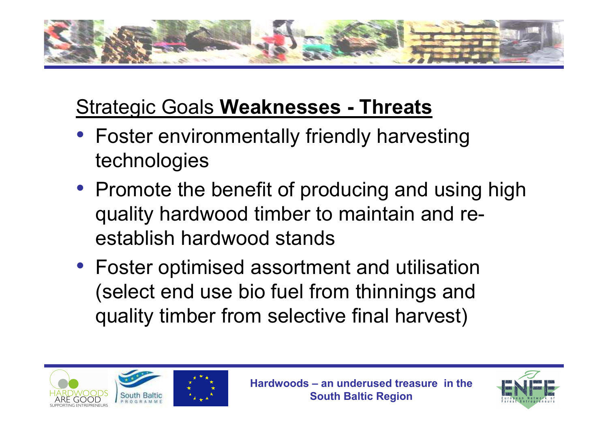

# Strategic Goals **Weaknesses - Threats**

- Foster environmentally friendly harvesting technologies
- Promote the benefit of producing and using high quality hardwood timber to maintain and reestablish hardwood stands
- Foster optimised assortment and utilisation (select end use bio fuel from thinnings and quality timber from selective final harvest)